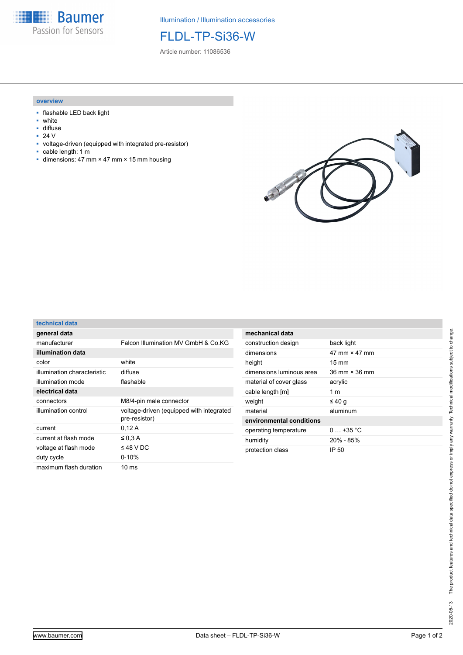

Illumination / Illumination accessories

FLDL-TP-Si36-W

Article number: 11086536

## **overview**

- flashable LED back light
- white
- diffuse<br>■ 24  $V$
- 24 V
- voltage-driven (equipped with integrated pre-resistor)
- cable length: 1 m  $\blacksquare$  dimensions: 47 mm × 47 mm × 15 mm housing



## **technical data**

| general data                |                                                           |
|-----------------------------|-----------------------------------------------------------|
| manufacturer                | Falcon Illumination MV GmbH & Co.KG                       |
| illumination data           |                                                           |
| color                       | white                                                     |
| illumination characteristic | diffuse                                                   |
| illumination mode           | flashable                                                 |
| electrical data             |                                                           |
| connectors                  | M8/4-pin male connector                                   |
| illumination control        | voltage-driven (equipped with integrated<br>pre-resistor) |
| current                     | 0,12A                                                     |
| current at flash mode       | $\leq$ 0.3 A                                              |
| voltage at flash mode       | $\leq$ 48 V DC                                            |
| duty cycle                  | $0 - 10%$                                                 |
| maximum flash duration      | 10 ms                                                     |

| mechanical data          |                                      |
|--------------------------|--------------------------------------|
| construction design      | back light                           |
| dimensions               | 47 mm × 47 mm                        |
| height                   | $15 \text{ mm}$                      |
| dimensions luminous area | $36 \text{ mm} \times 36 \text{ mm}$ |
| material of cover glass  | acrylic                              |
| cable length [m]         | 1 <sub>m</sub>                       |
| weight                   | ≤40 $q$                              |
| material                 | aluminum                             |
| environmental conditions |                                      |
| operating temperature    | $0 + 35 °C$                          |
| humidity                 | $20\%$ - 85%                         |
| protection class         | IP 50                                |